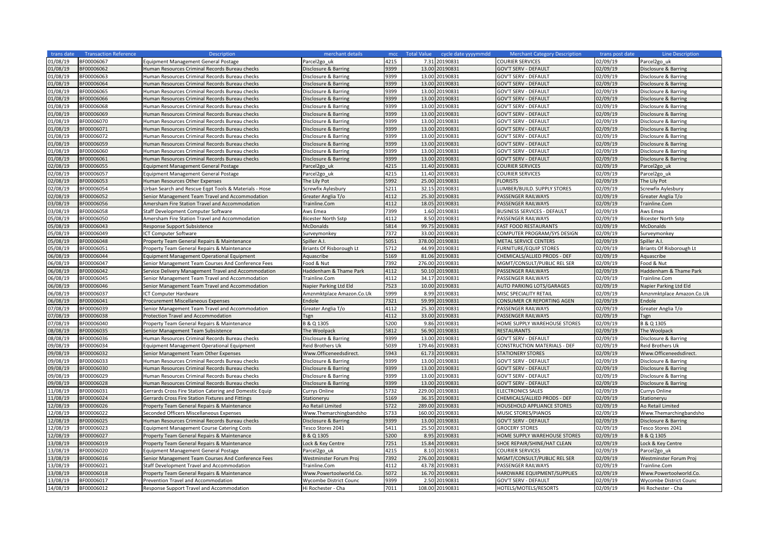| trans date | <b>Transaction Reference</b> | <b>Description</b>                                      | merchant details           | mcc  | <b>Total Value</b><br>cycle date yyyymmdd | <b>Merchant Category Description</b> | trans post date | Line Description                |
|------------|------------------------------|---------------------------------------------------------|----------------------------|------|-------------------------------------------|--------------------------------------|-----------------|---------------------------------|
| 01/08/19   | 3F00006067                   | <b>Equipment Management General Postage</b>             | Parcel <sub>2gouk</sub>    | 4215 | 7.31<br>20190831                          | COURIER SERVICES                     | 02/09/19        | Parcel <sub>2gouk</sub>         |
| 01/08/19   | BF00006062                   | Human Resources Criminal Records Bureau checks          | Disclosure & Barring       | 9399 | 13.00<br>20190831                         | GOV'T SERV - DEFAULT                 | 02/09/19        | Disclosure & Barring            |
| 01/08/19   | BF00006063                   | Human Resources Criminal Records Bureau checks          | Disclosure & Barring       | 9399 | 13.00<br>20190831                         | <b>GOV'T SERV - DEFAULT</b>          | 02/09/19        | Disclosure & Barring            |
| 01/08/19   | BF00006064                   | Human Resources Criminal Records Bureau checks          | Disclosure & Barring       | 9399 | 13.00<br>20190831                         | <b>GOV'T SERV - DEFAULT</b>          | 02/09/19        | Disclosure & Barring            |
| 01/08/19   | BF00006065                   | Human Resources Criminal Records Bureau checks          | Disclosure & Barring       | 9399 | 20190831<br>13.00                         | <b>GOV'T SERV - DEFAULT</b>          | 02/09/19        | Disclosure & Barring            |
| 01/08/19   | BF00006066                   | Human Resources Criminal Records Bureau checks          | Disclosure & Barring       | 9399 | 13.00<br>20190831                         | <b>GOV'T SERV - DEFAULT</b>          | 02/09/19        | Disclosure & Barring            |
| 01/08/19   | BF00006068                   | Human Resources Criminal Records Bureau checks          | Disclosure & Barring       | 9399 | 13.00<br>20190831                         | <b>GOV'T SERV - DEFAULT</b>          | 02/09/19        | Disclosure & Barring            |
| 01/08/19   | BF00006069                   | Human Resources Criminal Records Bureau checks          | Disclosure & Barring       | 9399 | 13.00<br>20190831                         | <b>GOV'T SERV - DEFAULT</b>          | 02/09/19        | Disclosure & Barring            |
| 01/08/19   | BF00006070                   | Human Resources Criminal Records Bureau checks          | Disclosure & Barring       | 9399 | 20190831<br>13.00                         | GOV'T SERV - DEFAULT                 | 02/09/19        | Disclosure & Barring            |
| 01/08/19   | BF00006071                   | Human Resources Criminal Records Bureau checks          | Disclosure & Barring       | 9399 | 13.00<br>20190831                         | <b>GOV'T SERV - DEFAULT</b>          | 02/09/19        | Disclosure & Barring            |
| 01/08/19   | BF00006072                   | Human Resources Criminal Records Bureau checks          | Disclosure & Barring       | 9399 | 20190831<br>13.00                         | <b>GOV'T SERV - DEFAULT</b>          | 02/09/19        | Disclosure & Barring            |
| 01/08/19   | BF00006059                   | Human Resources Criminal Records Bureau checks          | Disclosure & Barring       | 9399 | 13.00<br>0190831                          | GOV'T SERV - DEFAULT                 | 02/09/19        | Disclosure & Barring            |
| 01/08/19   | BF00006060                   | Human Resources Criminal Records Bureau checks          | Disclosure & Barring       | 9399 | 13.00<br>20190831                         | GOV'T SERV - DEFAULT                 | 02/09/19        | Disclosure & Barring            |
| 01/08/19   | BF00006061                   |                                                         |                            | 9399 | 0190831<br>13.00                          | GOV'T SERV - DEFAULT                 | 02/09/19        | Disclosure & Barring            |
| 02/08/19   |                              | Human Resources Criminal Records Bureau checks          | Disclosure & Barring       | 4215 | 11.40<br>20190831                         | COURIER SERVICES                     | 02/09/19        |                                 |
|            | BF00006055                   | <b>Equipment Management General Postage</b>             | Parcel <sub>2gouk</sub>    |      |                                           |                                      |                 | Parcel <sub>2gouk</sub>         |
| 02/08/19   | BF00006057                   | <b>Equipment Management General Postage</b>             | Parcel2go uk               | 4215 | 20190831<br>11.40                         | COURIER SERVICES                     | 02/09/19        | Parcel <sub>2gouk</sub>         |
| 02/08/19   | BF00006053                   | Human Resources Other Expenses                          | The Lily Pot               | 5992 | 25.00<br>20190831                         | <b>FLORISTS</b>                      | 02/09/19        | The Lily Pot                    |
| 02/08/19   | BF00006054                   | Urban Search and Rescue Egpt Tools & Materials - Hose   | Screwfix Aylesbury         | 5211 | 32.15<br>20190831                         | LUMBER/BUILD. SUPPLY STORES          | 02/09/19        | Screwfix Aylesbury              |
| 02/08/19   | BF00006052                   | Senior Management Team Travel and Accommodation         | Greater Anglia T/o         | 4112 | 25.30<br>20190831                         | PASSENGER RAILWAYS                   | 02/09/19        | Greater Anglia T/o              |
| 03/08/19   | BF00006056                   | Amersham Fire Station Travel and Accommodation          | Trainline.Com              | 4112 | 18.05<br>20190831                         | PASSENGER RAILWAYS                   | 02/09/19        | Trainline.Com                   |
| 03/08/19   | BF00006058                   | Staff Development Computer Software                     | Aws Emea                   | 7399 | 1.60<br>20190831                          | <b>BUSINESS SERVICES - DEFAULT</b>   | 02/09/19        | Aws Emea                        |
| 05/08/19   | BF00006050                   | Amersham Fire Station Travel and Accommodation          | <b>Bicester North Sstp</b> | 4112 | 8.50<br>20190831                          | PASSENGER RAILWAYS                   | 02/09/19        | <b>Bicester North Sstp</b>      |
| 05/08/19   | BF00006043                   | <b>Response Support Subsistence</b>                     | McDonalds                  | 5814 | 99.75 20190831                            | <b>FAST FOOD RESTAURANTS</b>         | 02/09/19        | <b>McDonalds</b>                |
| 05/08/19   | BF00006049                   | ICT Computer Software                                   | Surveymonkey               | 7372 | 33.00 20190831                            | COMPUTER PROGRAM/SYS DESIGN          | 02/09/19        | Surveymonkey                    |
| 05/08/19   | BF00006048                   | Property Team General Repairs & Maintenance             | Spiller A.I.               | 5051 | 378.00<br>0190831                         | METAL SERVICE CENTERS                | 02/09/19        | Spiller A.I.                    |
| 05/08/19   | BF00006051                   | Property Team General Repairs & Maintenance             | Briants Of Risborough Lt   | 5712 | 44.99<br>0190831                          | FURNITURE/EQUIP STORES               | 02/09/19        | <b>Briants Of Risborough Lt</b> |
| 06/08/19   | BF00006044                   | Equipment Management Operational Equipment              | Aquascribe                 | 5169 | 0190831<br>81.06                          | CHEMICALS/ALLIED PRODS - DEF         | 02/09/19        | Aquascribe                      |
| 06/08/19   | BF00006047                   | Senior Management Team Courses And Conference Fees      | Food & Nut                 | 7392 | 276.00<br>0190831                         | MGMT/CONSULT/PUBLIC REL SER          | 02/09/19        | Food & Nut                      |
| 06/08/19   | BF00006042                   | Service Delivery Management Travel and Accommodation    | Haddenham & Thame Park     | 4112 | 50.10<br>0190831                          | PASSENGER RAILWAYS                   | 02/09/19        | Haddenham & Thame Park          |
| 06/08/19   | BF00006045                   | Senior Management Team Travel and Accommodation         | Trainline.Com              | 4112 | 34.17<br>0190831                          | PASSENGER RAILWAYS                   | 02/09/19        | Trainline.Com                   |
| 06/08/19   | BF00006046                   | Senior Management Team Travel and Accommodation         | Napier Parking Ltd Eld     | 7523 | 20190831<br>10.00                         | <b>AUTO PARKING LOTS/GARAGES</b>     | 02/09/19        | Napier Parking Ltd Eld          |
| 06/08/19   | BF00006037                   | ICT Computer Hardware                                   | Amznmktplace Amazon.Co.Uk  | 5999 | 8.99<br>20190831                          | MISC SPECIALITY RETAIL               | 02/09/19        | Amznmktplace Amazon.Co.Uk       |
| 06/08/19   | BF00006041                   | Procurement Miscellaneous Expenses                      | Endole                     | 7321 | 59.99<br>20190831                         | CONSUMER CR REPORTING AGEN           | 02/09/19        | Endole                          |
| 07/08/19   | BF00006039                   | Senior Management Team Travel and Accommodation         | Greater Anglia T/o         | 4112 | 25.30<br>20190831                         | PASSENGER RAILWAYS                   | 02/09/19        | Greater Anglia T/o              |
| 07/08/19   | BF00006038                   | Protection Travel and Accommodation                     | Tsgn                       | 4112 | 33.00<br>20190831                         | PASSENGER RAILWAYS                   | 02/09/19        | Tsgn                            |
| 07/08/19   | BF00006040                   | Property Team General Repairs & Maintenance             | B & Q 1305                 | 5200 | 9.86<br>20190831                          | HOME SUPPLY WAREHOUSE STORES         | 02/09/19        | B & Q 1305                      |
| 08/08/19   | BF00006035                   | Senior Management Team Subsistence                      | The Woolpack               | 5812 | 56.90<br>20190831                         | <b>RESTAURANTS</b>                   | 02/09/19        | The Woolpack                    |
| 08/08/19   | BF00006036                   | Human Resources Criminal Records Bureau checks          | Disclosure & Barring       | 9399 | 13.00<br>20190831                         | GOV'T SERV - DEFAULT                 | 02/09/19        | Disclosure & Barring            |
| 09/08/19   | BF00006034                   | Equipment Management Operational Equipment              | <b>Reid Brothers Uk</b>    | 5039 | 179.46<br>20190831                        | CONSTRUCTION MATERIALS - DEF         | 02/09/19        | Reid Brothers Uk                |
| 09/08/19   | BF00006032                   | Senior Management Team Other Expenses                   | Www.Officeneedsdirect.     | 5943 | 61.73<br>0190831                          | <b>STATIONERY STORES</b>             | 02/09/19        | Www.Officeneedsdirect.          |
| 09/08/19   | BF00006033                   | Human Resources Criminal Records Bureau checks          | Disclosure & Barring       | 9399 | 20190831<br>13.00                         | <b>GOV'T SERV - DEFAULT</b>          | 02/09/19        | Disclosure & Barring            |
| 09/08/19   | BF00006030                   | Human Resources Criminal Records Bureau checks          | Disclosure & Barring       | 9399 | 13.00<br>0190831                          | <b>GOV'T SERV - DEFAULT</b>          | 02/09/19        | Disclosure & Barring            |
| 09/08/19   | BF00006029                   | Human Resources Criminal Records Bureau checks          | Disclosure & Barring       | 9399 | 13.00<br>20190831                         | GOV'T SERV - DEFAULT                 | 02/09/19        | Disclosure & Barring            |
| 09/08/19   | BF00006028                   | Human Resources Criminal Records Bureau checks          | Disclosure & Barring       | 9399 | 13.00<br>0190831                          | <b>GOV'T SERV - DEFAULT</b>          | 02/09/19        | Disclosure & Barring            |
| 11/08/19   | BF00006031                   | Gerrards Cross Fire Station Catering and Domestic Equip | Currys Online              | 5732 | 229.00<br>0190831                         | <b>ELECTRONICS SALES</b>             | 02/09/19        | Currys Online                   |
| 11/08/19   | BF00006024                   | Gerrards Cross Fire Station Fixtures and Fittings       | Stationeryu                | 5169 | 36.35<br>20190831                         | CHEMICALS/ALLIED PRODS - DEF         | 02/09/19        | Stationeryu                     |
| 12/08/19   | BF00006026                   | Property Team General Repairs & Maintenance             | Ao Retail Limited          | 5722 | 289.00<br>20190831                        | HOUSEHOLD APPLIANCE STORES           | 02/09/19        | Ao Retail Limited               |
| 12/08/19   | BF00006022                   | Seconded Officers Miscellaneous Expenses                | Www.Themarchingbandsho     | 5733 | 160.00<br>0190831                         | MUSIC STORES/PIANOS                  | 02/09/19        | Www.Themarchingbandsho          |
| 12/08/19   | BF00006025                   | Human Resources Criminal Records Bureau checks          | Disclosure & Barring       | 9399 | 13.00<br>0190831                          | <b>GOV'T SERV - DEFAULT</b>          | 02/09/19        | Disclosure & Barring            |
| 12/08/19   | BF00006023                   | <b>Equipment Management Course Catering Costs</b>       | Tesco Stores 2041          | 5411 | 25.50<br>20190831                         | <b>GROCERY STORES</b>                | 02/09/19        | Tesco Stores 2041               |
| 12/08/19   | BF00006027                   | Property Team General Repairs & Maintenance             | B & Q 1305                 | 5200 | 8.95<br>20190831                          | HOME SUPPLY WAREHOUSE STORES         | 02/09/19        | B & Q 1305                      |
| 13/08/19   | BF00006019                   | Property Team General Repairs & Maintenance             | Lock & Key Centre          | 7251 | 15.84<br>20190831                         | SHOE REPAIR/SHINE/HAT CLEAN          | 02/09/19        | Lock & Key Centre               |
| 13/08/19   | BF00006020                   | <b>Equipment Management General Postage</b>             | Parcel2go uk               | 4215 | 20190831<br>8.10                          | COURIER SERVICES                     | 02/09/19        | Parcel <sub>2gouk</sub>         |
| 13/08/19   | BF00006016                   | Senior Management Team Courses And Conference Fees      | Westminster Forum Proj     | 7392 | 20190831<br>276.00                        | MGMT/CONSULT/PUBLIC REL SER          | 02/09/19        | Westminster Forum Proj          |
| 13/08/19   | BF00006021                   | Staff Development Travel and Accommodation              | Trainline.Com              | 4112 | 20190831<br>43.78                         | PASSENGER RAILWAYS                   | 02/09/19        | Trainline.Com                   |
| 13/08/19   | BF00006018                   | Property Team General Repairs & Maintenance             | Www.Powertoolworld.Co.     | 5072 | 16.70<br>20190831                         | HARDWARE EQUIPMENT/SUPPLIES          | 02/09/19        | Www.Powertoolworld.Co.          |
| 13/08/19   | BF00006017                   |                                                         |                            | 9399 | 2.50<br>20190831                          |                                      | 02/09/19        |                                 |
|            |                              | Prevention Travel and Accommodation                     | Wycombe District Counc     | 7011 |                                           | GOV'T SERV - DEFAULT                 |                 | Wycombe District Counc          |
| 14/08/19   | BF00006012                   | Response Support Travel and Accommodation               | Hi Rochester - Cha         |      | 108.00 20190831                           | HOTELS/MOTELS/RESORTS                | 02/09/19        | Hi Rochester - Cha              |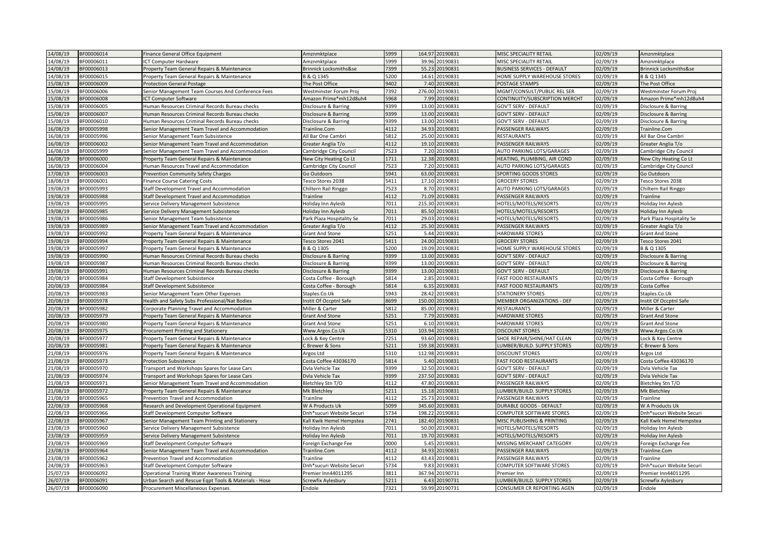| 14/08/19 | BF00006014 | Finance General Office Equipment                      | Amznmktplace              | 5999 |        | 164.97 20190831      | MISC SPECIALITY RETAIL             | 02/09/19 | Amznmktplace              |
|----------|------------|-------------------------------------------------------|---------------------------|------|--------|----------------------|------------------------------------|----------|---------------------------|
| 14/08/19 | BF00006011 | CT Computer Hardware                                  | Amznmktplace              | 5999 |        | 39.96 20190831       | MISC SPECIALITY RETAIL             | 02/09/19 | Amznmktplace              |
| 14/08/19 | BF00006013 | Property Team General Repairs & Maintenance           | Brinnick Locksmiths&se    | 7399 | 55.23  | 20190831             | <b>BUSINESS SERVICES - DEFAULT</b> | 02/09/19 | Brinnick Locksmiths&se    |
| 14/08/19 | BF00006015 | Property Team General Repairs & Maintenance           | B & Q 1345                | 5200 | 14.61  | 20190831             | HOME SUPPLY WAREHOUSE STORES       | 02/09/19 | B & Q 1345                |
| 15/08/19 | BF00006009 | <b>Protection General Postage</b>                     | The Post Office           | 9402 | 7.40   | 20190831             | POSTAGE STAMPS                     | 02/09/19 | The Post Office           |
| L5/08/19 | BF00006006 | Senior Management Team Courses And Conference Fees    | Westminster Forum Proj    | 7392 | 276.00 | 20190831             | MGMT/CONSULT/PUBLIC REL SER        | 02/09/19 | Westminster Forum Proj    |
| 15/08/19 | BF00006008 | <b>CT Computer Software</b>                           | Amazon Prime*mh12d8uh4    | 5968 | 7.99   | 20190831             | CONTINUITY/SUBSCRIPTION MERCHT     | 02/09/19 | Amazon Prime*mh12d8uh4    |
| 15/08/19 | BF00006005 | Human Resources Criminal Records Bureau checks        | Disclosure & Barring      | 9399 | 13.00  | 20190831             | <b>GOV'T SERV - DEFAULT</b>        | 02/09/19 | Disclosure & Barring      |
| 15/08/19 | BF00006007 | Human Resources Criminal Records Bureau checks        | Disclosure & Barring      | 9399 | 13.00  | 0190831              | <b>GOV'T SERV - DEFAULT</b>        | 02/09/19 | Disclosure & Barring      |
| 15/08/19 | BF00006010 | Human Resources Criminal Records Bureau checks        | Disclosure & Barring      | 9399 | 13.00  | 20190831             | <b>GOV'T SERV - DEFAULT</b>        | 02/09/19 | Disclosure & Barring      |
| 16/08/19 | BF00005998 | Senior Management Team Travel and Accommodation       | Trainline.Com             | 4112 | 34.93  | 0190831              | PASSENGER RAILWAYS                 | 02/09/19 | Trainline.Com             |
| 16/08/19 | BF00005996 | Senior Management Team Subsistence                    | All Bar One Cambri        | 5812 | 25.00  | 20190831             | <b>RESTAURANTS</b>                 | 02/09/19 | All Bar One Cambri        |
| 16/08/19 | BF00006002 |                                                       |                           | 4112 | 19.10  | 20190831             | PASSENGER RAILWAYS                 | 02/09/19 |                           |
|          | BF00005999 | Senior Management Team Travel and Accommodation       | Greater Anglia T/o        | 7523 | 7.20   | 20190831             | <b>AUTO PARKING LOTS/GARAGES</b>   | 02/09/19 | Greater Anglia T/o        |
| 16/08/19 |            | Senior Management Team Travel and Accommodation       | Cambridge City Council    |      |        |                      |                                    |          | Cambridge City Council    |
| 16/08/19 | BF00006000 | Property Team General Repairs & Maintenance           | New City Heating Co Lt    | 1711 | 12.38  | 20190831<br>20190831 | HEATING, PLUMBING, AIR COND        | 02/09/19 | New City Heating Co Lt    |
| 16/08/19 | BF00006004 | Human Resources Travel and Accommodation              | Cambridge City Council    | 7523 | 7.20   |                      | AUTO PARKING LOTS/GARAGES          | 02/09/19 | Cambridge City Council    |
| 17/08/19 | BF00006003 | Prevention Community Safety Charges                   | Go Outdoors               | 5941 | 63.00  | 20190831             | SPORTING GOODS STORES              | 02/09/19 | Go Outdoors               |
| 18/08/19 | BF00006001 | Finance Course Catering Costs                         | Tesco Stores 2038         | 5411 | 17.10  | 20190831             | <b>GROCERY STORES</b>              | 02/09/19 | Tesco Stores 2038         |
| 19/08/19 | BF00005993 | Staff Development Travel and Accommodation            | Chiltern Rail Ringgo      | 7523 |        | 8.70 20190831        | AUTO PARKING LOTS/GARAGES          | 02/09/19 | Chiltern Rail Ringgo      |
| 19/08/19 | BF00005988 | Staff Development Travel and Accommodation            | Trainline                 | 4112 | 71.09  | 20190831             | PASSENGER RAILWAYS                 | 02/09/19 | Trainline                 |
| 19/08/19 | BF00005995 | Service Delivery Management Subsistence               | Holiday Inn Aylesb        | 7011 |        | 215.30 20190831      | HOTELS/MOTELS/RESORTS              | 02/09/19 | Holiday Inn Aylesb        |
| 19/08/19 | BF00005985 | Service Delivery Management Subsistence               | Holiday Inn Aylesb        | 7011 | 85.50  | 20190831             | HOTELS/MOTELS/RESORTS              | 02/09/19 | Holiday Inn Aylesb        |
| 19/08/19 | BF00005986 | Senior Management Team Subsistence                    | Park Plaza Hospitality Se | 7011 | 29.03  | 20190831             | HOTELS/MOTELS/RESORTS              | 02/09/19 | Park Plaza Hospitality Se |
| 19/08/19 | BF00005989 | Senior Management Team Travel and Accommodation       | Greater Anglia T/o        | 4112 | 25.30  | 0190831              | PASSENGER RAILWAYS                 | 02/09/19 | Greater Anglia T/o        |
| 19/08/19 | BF00005992 | Property Team General Repairs & Maintenance           | <b>Grant And Stone</b>    | 5251 | 5.44   | 20190831             | <b>HARDWARE STORES</b>             | 02/09/19 | <b>Grant And Stone</b>    |
| 19/08/19 | BF00005994 | Property Team General Repairs & Maintenance           | Tesco Stores 2041         | 5411 | 24.00  | 0190831              | <b>GROCERY STORES</b>              | 02/09/19 | Tesco Stores 2041         |
| 19/08/19 | BF00005997 | Property Team General Repairs & Maintenance           | B & Q 1305                | 5200 | 19.09  | 0190831              | HOME SUPPLY WAREHOUSE STORES       | 02/09/19 | B & Q 1305                |
| 19/08/19 | BF00005990 | Human Resources Criminal Records Bureau checks        | Disclosure & Barring      | 9399 | 13.00  | 0190831              | GOV'T SERV - DEFAULT               | 02/09/19 | Disclosure & Barring      |
| 19/08/19 | BF00005987 | Human Resources Criminal Records Bureau checks        | Disclosure & Barring      | 9399 | 13.00  | 20190831             | <b>GOV'T SERV - DEFAULT</b>        | 02/09/19 | Disclosure & Barring      |
| 19/08/19 | BF00005991 | Human Resources Criminal Records Bureau checks        | Disclosure & Barring      | 9399 | 13.00  | 20190831             | <b>GOV'T SERV - DEFAULT</b>        | 02/09/19 | Disclosure & Barring      |
| 20/08/19 | BF00005984 | Staff Development Subsistence                         | Costa Coffee - Borough    | 5814 | 2.85   | 20190831             | <b>FAST FOOD RESTAURANTS</b>       | 02/09/19 | Costa Coffee - Borough    |
| 20/08/19 | BF00005984 | Staff Development Subsistence                         | Costa Coffee - Borough    | 5814 | 6.35   | 20190831             | <b>FAST FOOD RESTAURANTS</b>       | 02/09/19 | Costa Coffee              |
| 20/08/19 | BF00005983 | Senior Management Team Other Expenses                 | Staples.Co.Uk             | 5943 | 28.42  | 20190831             | <b>STATIONERY STORES</b>           | 02/09/19 | Staples.Co.Uk             |
| 20/08/19 | BF00005978 | Health and Safety Subs Professional/Nat Bodies        | Instit Of Occptnl Safe    | 8699 | 150.00 | 20190831             | MEMBER ORGANIZATIONS - DEF         | 02/09/19 | Instit Of Occptnl Safe    |
| 20/08/19 | BF00005982 | Corporate Planning Travel and Accommodation           | Miller & Carter           | 5812 | 85.00  | 20190831             | <b>RESTAURANTS</b>                 | 02/09/19 | Miller & Carter           |
| 20/08/19 | BF00005979 | Property Team General Repairs & Maintenance           | <b>Grant And Stone</b>    | 5251 | 7.79   | 20190831             | <b>HARDWARE STORES</b>             | 02/09/19 | <b>Grant And Stone</b>    |
| 20/08/19 | BF00005980 | Property Team General Repairs & Maintenance           | <b>Grant And Stone</b>    | 5251 | 6.10   | 20190831             | <b>HARDWARE STORES</b>             | 02/09/19 | <b>Grant And Stone</b>    |
| 20/08/19 | BF00005975 | Procurement Printing and Stationery                   | Www.Argos.Co.Uk           | 5310 |        | 103.94 20190831      | <b>DISCOUNT STORES</b>             | 02/09/19 | Www.Argos.Co.Uk           |
| 20/08/19 | BF00005977 | Property Team General Repairs & Maintenance           | Lock & Key Centre         | 7251 | 93.60  | 20190831             | SHOE REPAIR/SHINE/HAT CLEAN        | 02/09/19 | Lock & Key Centre         |
| 20/08/19 | BF00005981 | Property Team General Repairs & Maintenance           | C Brewer & Sons           | 5211 | 159.38 | 20190831             | LUMBER/BUILD. SUPPLY STORES        | 02/09/19 | C Brewer & Sons           |
| 21/08/19 | BF00005976 | Property Team General Repairs & Maintenance           | Argos Ltd                 | 5310 | 112.98 | 20190831             | <b>DISCOUNT STORES</b>             | 02/09/19 | Argos Ltd                 |
| 21/08/19 | BF00005973 | Protection Subsistence                                | Costa Coffee 43036170     | 5814 | 5.40   | 20190831             | <b>FAST FOOD RESTAURANTS</b>       | 02/09/19 | Costa Coffee 43036170     |
| 1/08/19  | BF00005970 | Transport and Workshops Spares for Lease Cars         | Dvla Vehicle Tax          | 9399 | 32.50  | 20190831             | <b>GOV'T SERV - DEFAULT</b>        | 02/09/19 | Dvla Vehicle Tax          |
| 21/08/19 | BF00005974 | Transport and Workshops Spares for Lease Cars         | Dvla Vehicle Tax          | 9399 | 237.50 | 20190831             | <b>GOV'T SERV - DEFAULT</b>        | 02/09/19 | Dvla Vehicle Tax          |
| 21/08/19 | BF00005971 | Senior Management Team Travel and Accommodation       | Bletchley Stn T/O         | 4112 | 47.80  | 0190831              | PASSENGER RAILWAYS                 | 02/09/19 | Bletchley Stn T/O         |
| 21/08/19 | BF00005972 | Property Team General Repairs & Maintenance           | Mk Bletchley              | 5211 | 15.18  | 0190831              | LUMBER/BUILD. SUPPLY STORES        | 02/09/19 | Mk Bletchley              |
| 1/08/19  | BF00005965 | Prevention Travel and Accommodation                   | Trainline                 | 4112 | 25.73  | 20190831             | <b>PASSENGER RAILWAYS</b>          | 02/09/19 | Trainline                 |
| 22/08/19 | BF00005968 | Research and Development Operational Equipment        | W A Products Uk           | 5099 | 345.60 | 20190831             | <b>DURABLE GOODS - DEFAULT</b>     | 02/09/19 | W A Products Uk           |
| 22/08/19 | BF00005966 | Staff Development Computer Software                   | Dnh*sucuri Website Securi | 5734 | 198.22 | 20190831             | <b>COMPUTER SOFTWARE STORES</b>    | 02/09/19 | Dnh*sucuri Website Securi |
| 22/08/19 | BF00005967 | Senior Management Team Printing and Stationery        | Kall Kwik Hemel Hempstea  | 2741 | 182.40 | 20190831             | MISC PUBLISHING & PRINTING         | 02/09/19 | Kall Kwik Hemel Hempstea  |
| 23/08/19 | BF00005960 | Service Delivery Management Subsistence               | Holiday Inn Aylesb        | 7011 | 50.00  | 20190831             | <b>HOTELS/MOTELS/RESORTS</b>       | 02/09/19 | Holiday Inn Aylesb        |
| 23/08/19 | BF00005959 | Service Delivery Management Subsistence               | Holiday Inn Aylesb        | 7011 | 19.70  | 20190831             | HOTELS/MOTELS/RESORTS              | 02/09/19 | Holiday Inn Aylesb        |
|          |            |                                                       |                           |      | 5.45   |                      |                                    |          |                           |
| 23/08/19 | BF00005969 | Staff Development Computer Software                   | Foreign Exchange Fee      | 0000 | 34.93  | 20190831             | MISSING MERCHANT CATEGORY          | 02/09/19 | Foreign Exchange Fee      |
| 23/08/19 | BF00005964 | Senior Management Team Travel and Accommodation       | Trainline.Com             | 4112 |        | 20190831             | PASSENGER RAILWAYS                 | 02/09/19 | Trainline.Com             |
| 23/08/19 | BF00005962 | Prevention Travel and Accommodation                   | Trainline                 | 4112 |        | 43.43 20190831       | PASSENGER RAILWAYS                 | 02/09/19 | Trainline                 |
| 24/08/19 | BF00005963 | Staff Development Computer Software                   | Dnh*sucuri Website Securi | 5734 | 9.83   | 20190831             | COMPUTER SOFTWARE STORES           | 02/09/19 | Dnh*sucuri Website Securi |
| 5/07/19  | BF00006092 | <b>Operational Training Water Awareness Training</b>  | Premier Inn44011295       | 3811 | 367.94 | 20190731             | Premier Inn                        | 02/09/19 | Premier Inn44011295       |
| 26/07/19 | BF00006091 | Urban Search and Rescue Egpt Tools & Materials - Hose | Screwfix Aylesbury        | 5211 | 6.43   | 20190731             | LUMBER/BUILD. SUPPLY STORES        | 02/09/19 | Screwfix Aylesbury        |
| 26/07/19 | BF00006090 | Procurement Miscellaneous Expenses                    | Endole                    | 7321 |        | 59.99 20190731       | CONSUMER CR REPORTING AGEN         | 02/09/19 | Endole                    |